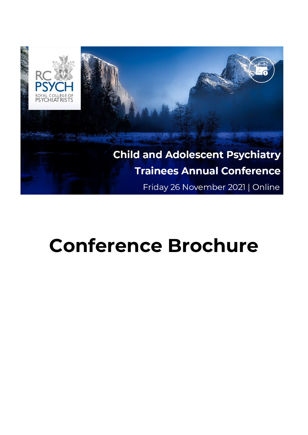

# **Conference Brochure**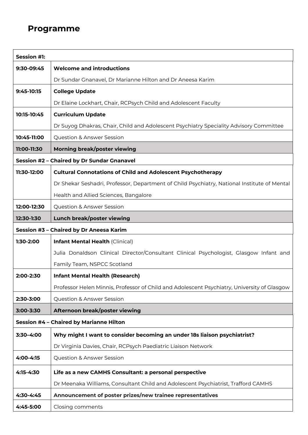## **Programme**

| <b>Session #1:</b>                         |                                                                                             |
|--------------------------------------------|---------------------------------------------------------------------------------------------|
| 9:30-09:45                                 | <b>Welcome and introductions</b>                                                            |
|                                            | Dr Sundar Gnanavel, Dr Marianne Hilton and Dr Aneesa Karim                                  |
| 9:45-10:15                                 | <b>College Update</b>                                                                       |
|                                            | Dr Elaine Lockhart, Chair, RCPsych Child and Adolescent Faculty                             |
| 10:15-10:45                                | <b>Curriculum Update</b>                                                                    |
|                                            | Dr Suyog Dhakras, Chair, Child and Adolescent Psychiatry Speciality Advisory Committee      |
| 10:45-11:00                                | <b>Question &amp; Answer Session</b>                                                        |
| 11:00-11:30                                | Morning break/poster viewing                                                                |
| Session #2 - Chaired by Dr Sundar Gnanavel |                                                                                             |
| 11:30-12:00                                | <b>Cultural Connotations of Child and Adolescent Psychotherapy</b>                          |
|                                            | Dr Shekar Seshadri, Professor, Department of Child Psychiatry, National Institute of Mental |
|                                            | Health and Allied Sciences, Bangalore                                                       |
| 12:00-12:30                                | <b>Question &amp; Answer Session</b>                                                        |
| 12:30-1:30                                 | Lunch break/poster viewing                                                                  |
| Session #3 - Chaired by Dr Aneesa Karim    |                                                                                             |
| 1:30-2:00                                  | <b>Infant Mental Health (Clinical)</b>                                                      |
|                                            | Julia Donaldson Clinical Director/Consultant Clinical Psychologist, Glasgow Infant and      |
|                                            | Family Team, NSPCC Scotland                                                                 |
| 2:00-2:30                                  | <b>Infant Mental Health (Research)</b>                                                      |
|                                            | Professor Helen Minnis, Professor of Child and Adolescent Psychiatry, University of Glasgow |
| 2:30-3:00                                  | Question & Answer Session                                                                   |
| 3:00-3:30                                  | Afternoon break/poster viewing                                                              |
| Session #4 - Chaired by Marianne Hilton    |                                                                                             |
| 3:30-4:00                                  | Why might I want to consider becoming an under 18s liaison psychiatrist?                    |
|                                            | Dr Virginia Davies, Chair, RCPsych Paediatric Liaison Network                               |
| 4:00-4:15                                  | Question & Answer Session                                                                   |
| 4:15-4:30                                  | Life as a new CAMHS Consultant: a personal perspective                                      |
|                                            | Dr Meenaka Williams, Consultant Child and Adolescent Psychiatrist, Trafford CAMHS           |
| 4:30-4:45                                  | Announcement of poster prizes/new trainee representatives                                   |
| 4:45-5:00                                  | Closing comments                                                                            |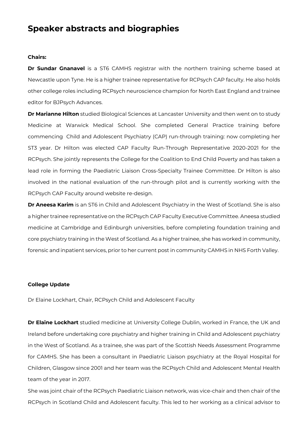## **Speaker abstracts and biographies**

#### **Chairs:**

**Dr Sundar Gnanavel** is a ST6 CAMHS registrar with the northern training scheme based at Newcastle upon Tyne. He is a higher trainee representative for RCPsych CAP faculty. He also holds other college roles including RCPsych neuroscience champion for North East England and trainee editor for BJPsych Advances.

**Dr Marianne Hilton** studied Biological Sciences at Lancaster University and then went on to study Medicine at Warwick Medical School. She completed General Practice training before commencing Child and Adolescent Psychiatry (CAP) run-through training: now completing her ST3 year. Dr Hilton was elected CAP Faculty Run-Through Representative 2020-2021 for the RCPsych. She jointly represents the College for the Coalition to End Child Poverty and has taken a lead role in forming the Paediatric Liaison Cross-Specialty Trainee Committee. Dr Hilton is also involved in the national evaluation of the run-through pilot and is currently working with the RCPsych CAP Faculty around website re-design.

**Dr Aneesa Karim** is an ST6 in Child and Adolescent Psychiatry in the West of Scotland. She is also a higher trainee representative on the RCPsych CAP Faculty Executive Committee. Aneesa studied medicine at Cambridge and Edinburgh universities, before completing foundation training and core psychiatry training in the West of Scotland. As a higher trainee, she has worked in community, forensic and inpatient services, prior to her current post in community CAMHS in NHS Forth Valley.

#### **College Update**

Dr Elaine Lockhart, Chair, RCPsych Child and Adolescent Faculty

**Dr Elaine Lockhart** studied medicine at University College Dublin, worked in France, the UK and Ireland before undertaking core psychiatry and higher training in Child and Adolescent psychiatry in the West of Scotland. As a trainee, she was part of the Scottish Needs Assessment Programme for CAMHS. She has been a consultant in Paediatric Liaison psychiatry at the Royal Hospital for Children, Glasgow since 2001 and her team was the RCPsych Child and Adolescent Mental Health team of the year in 2017.

She was joint chair of the RCPsych Paediatric Liaison network, was vice-chair and then chair of the RCPsych in Scotland Child and Adolescent faculty. This led to her working as a clinical advisor to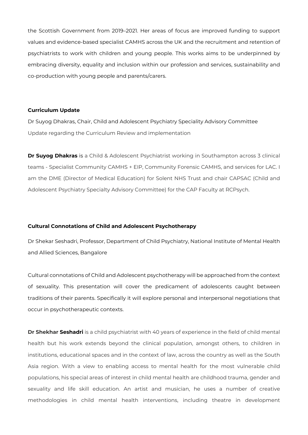the Scottish Government from 2019–2021. Her areas of focus are improved funding to support values and evidence-based specialist CAMHS across the UK and the recruitment and retention of psychiatrists to work with children and young people. This works aims to be underpinned by embracing diversity, equality and inclusion within our profession and services, sustainability and co-production with young people and parents/carers.

#### **Curriculum Update**

Dr Suyog Dhakras, Chair, Child and Adolescent Psychiatry Speciality Advisory Committee Update regarding the Curriculum Review and implementation

**Dr Suyog Dhakras** is a Child & Adolescent Psychiatrist working in Southampton across 3 clinical teams - Specialist Community CAMHS + EIP, Community Forensic CAMHS, and services for LAC. I am the DME (Director of Medical Education) for Solent NHS Trust and chair CAPSAC (Child and Adolescent Psychiatry Specialty Advisory Committee) for the CAP Faculty at RCPsych.

#### **Cultural Connotations of Child and Adolescent Psychotherapy**

Dr Shekar Seshadri, Professor, Department of Child Psychiatry, National Institute of Mental Health and Allied Sciences, Bangalore

Cultural connotations of Child and Adolescent psychotherapy will be approached from the context of sexuality. This presentation will cover the predicament of adolescents caught between traditions of their parents. Specifically it will explore personal and interpersonal negotiations that occur in psychotherapeutic contexts.

**Dr Shekhar Seshadri** is a child psychiatrist with 40 years of experience in the field of child mental health but his work extends beyond the clinical population, amongst others, to children in institutions, educational spaces and in the context of law, across the country as well as the South Asia region. With a view to enabling access to mental health for the most vulnerable child populations, his special areas of interest in child mental health are childhood trauma, gender and sexuality and life skill education. An artist and musician, he uses a number of creative methodologies in child mental health interventions, including theatre in development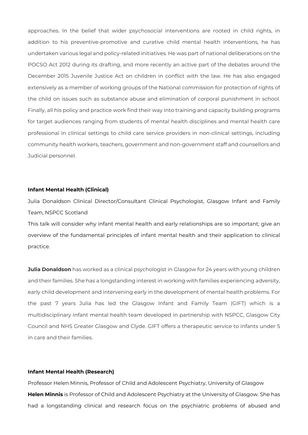approaches. In the belief that wider psychosocial interventions are rooted in child rights, in addition to his preventive-promotive and curative child mental health interventions, he has undertaken various legal and policy-related initiatives. He was part of national deliberations on the POCSO Act 2012 during its drafting, and more recently an active part of the debates around the December 2015 Juvenile Justice Act on children in conflict with the law. He has also engaged extensively as a member of working groups of the National commission for protection of rights of the child on issues such as substance abuse and elimination of corporal punishment in school. Finally, all his policy and practice work find their way into training and capacity building programs for target audiences ranging from students of mental health disciplines and mental health care professional in clinical settings to child care service providers in non-clinical settings, including community health workers, teachers, government and non-government staff and counsellors and Judicial personnel.

#### **Infant Mental Health (Clinical)**

Julia Donaldson Clinical Director/Consultant Clinical Psychologist, Glasgow Infant and Family Team, NSPCC Scotland

This talk will consider why infant mental health and early relationships are so important; give an overview of the fundamental principles of infant mental health and their application to clinical practice.

**Julia Donaldson** has worked as a clinical psychologist in Glasgow for 24 years with young children and their families. She has a longstanding interest in working with families experiencing adversity, early child development and intervening early in the development of mental health problems. For the past 7 years Julia has led the Glasgow Infant and Family Team (GIFT) which is a multidisciplinary infant mental health team developed in partnership with NSPCC, Glasgow City Council and NHS Greater Glasgow and Clyde. GIFT offers a therapeutic service to infants under 5 in care and their families.

#### **Infant Mental Health (Research)**

Professor Helen Minnis, Professor of Child and Adolescent Psychiatry, University of Glasgow **Helen Minnis** is Professor of Child and Adolescent Psychiatry at the University of Glasgow. She has had a longstanding clinical and research focus on the psychiatric problems of abused and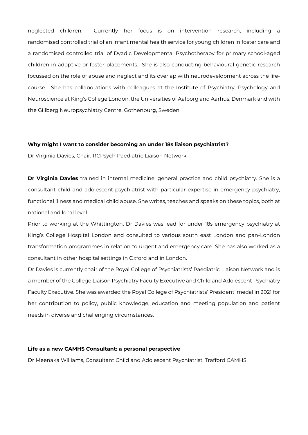neglected children. Currently her focus is on intervention research, including a randomised controlled trial of an infant mental health service for young children in foster care and a randomised controlled trial of Dyadic Developmental Psychotherapy for primary school-aged children in adoptive or foster placements. She is also conducting behavioural genetic research focussed on the role of abuse and neglect and its overlap with neurodevelopment across the lifecourse. She has collaborations with colleagues at the Institute of Psychiatry, Psychology and Neuroscience at King's College London, the Universities of Aalborg and Aarhus, Denmark and with the Gillberg Neuropsychiatry Centre, Gothenburg, Sweden.

#### **Why might I want to consider becoming an under 18s liaison psychiatrist?**

Dr Virginia Davies, Chair, RCPsych Paediatric Liaison Network

**Dr Virginia Davies** trained in internal medicine, general practice and child psychiatry. She is a consultant child and adolescent psychiatrist with particular expertise in emergency psychiatry, functional illness and medical child abuse. She writes, teaches and speaks on these topics, both at national and local level.

Prior to working at the Whittington, Dr Davies was lead for under 18s emergency psychiatry at King's College Hospital London and consulted to various south east London and pan-London transformation programmes in relation to urgent and emergency care. She has also worked as a consultant in other hospital settings in Oxford and in London.

Dr Davies is currently chair of the Royal College of Psychiatrists' Paediatric Liaison Network and is a member of the College Liaison Psychiatry Faculty Executive and Child and Adolescent Psychiatry Faculty Executive. She was awarded the Royal College of Psychiatrists' President' medal in 2021 for her contribution to policy, public knowledge, education and meeting population and patient needs in diverse and challenging circumstances.

#### **Life as a new CAMHS Consultant: a personal perspective**

Dr Meenaka Williams, Consultant Child and Adolescent Psychiatrist, Trafford CAMHS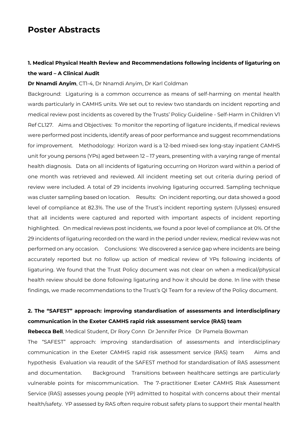## **Poster Abstracts**

## **1. Medical Physical Health Review and Recommendations following incidents of ligaturing on the ward – A Clinical Audit**

#### **Dr Nnamdi Anyim**, CT1-4, Dr Nnamdi Anyim, Dr Karl Coldman

Background: Ligaturing is a common occurrence as means of self-harming on mental health wards particularly in CAMHS units. We set out to review two standards on incident reporting and medical review post incidents as covered by the Trusts' Policy Guideline - Self-Harm in Children V1 Ref CL127. Aims and Objectives: To monitor the reporting of ligature incidents, if medical reviews were performed post incidents, identify areas of poor performance and suggest recommendations for improvement. Methodology: Horizon ward is a 12-bed mixed-sex long-stay inpatient CAMHS unit for young persons (YPs) aged between 12 – 17 years, presenting with a varying range of mental health diagnosis. Data on all incidents of ligaturing occurring on Horizon ward within a period of one month was retrieved and reviewed. All incident meeting set out criteria during period of review were included. A total of 29 incidents involving ligaturing occurred. Sampling technique was cluster sampling based on location. Results: On incident reporting, our data showed a good level of compliance at 82.3%. The use of the Trust's incident reporting system (Ulysses) ensured that all incidents were captured and reported with important aspects of incident reporting highlighted. On medical reviews post incidents, we found a poor level of compliance at 0%. Of the 29 incidents of ligaturing recorded on the ward in the period under review, medical review was not performed on any occasion. Conclusions: We discovered a service gap where incidents are being accurately reported but no follow up action of medical review of YPs following incidents of ligaturing. We found that the Trust Policy document was not clear on when a medical/physical health review should be done following ligaturing and how it should be done. In line with these findings, we made recommendations to the Trust's QI Team for a review of the Policy document.

## **2. The "SAFEST" approach: improving standardisation of assessments and interdisciplinary communication in the Exeter CAMHS rapid risk assessment service (RAS) team**

**Rebecca Bell**, Medical Student, Dr Rory Conn Dr Jennifer Price Dr Pamela Bowman

The "SAFEST" approach: improving standardisation of assessments and interdisciplinary communication in the Exeter CAMHS rapid risk assessment service (RAS) team Aims and hypothesis Evaluation via reaudit of the SAFEST method for standardisation of RAS assessment and documentation. Background Transitions between healthcare settings are particularly vulnerable points for miscommunication. The 7-practitioner Exeter CAMHS Risk Assessment Service (RAS) assesses young people (YP) admitted to hospital with concerns about their mental health/safety. YP assessed by RAS often require robust safety plans to support their mental health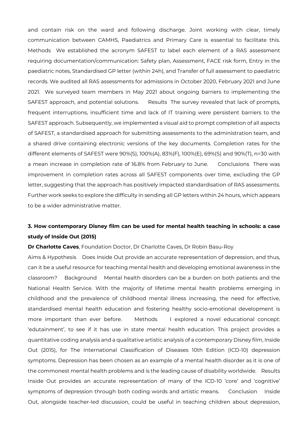and contain risk on the ward and following discharge. Joint working with clear, timely communication between CAMHS, Paediatrics and Primary Care is essential to facilitate this. Methods We established the acronym SAFEST to label each element of a RAS assessment requiring documentation/communication: Safety plan, Assessment, FACE risk form, Entry in the paediatric notes, Standardised GP letter (within 24h), and Transfer of full assessment to paediatric records. We audited all RAS assessments for admissions in October 2020, February 2021 and June 2021. We surveyed team members in May 2021 about ongoing barriers to implementing the SAFEST approach, and potential solutions. Results The survey revealed that lack of prompts, frequent interruptions, insufficient time and lack of IT training were persistent barriers to the SAFEST approach. Subsequently, we implemented a visual aid to prompt completion of all aspects of SAFEST, a standardised approach for submitting assessments to the administration team, and a shared drive containing electronic versions of the key documents. Completion rates for the different elements of SAFEST were 90%(S), 100%(A), 83%(F), 100%(E), 69%(S) and 90%(T), n=30 with a mean increase in completion rate of 16.8% from February to June. Conclusions There was improvement in completion rates across all SAFEST components over time, excluding the GP letter, suggesting that the approach has positively impacted standardisation of RAS assessments. Further work seeks to explore the difficulty in sending all GP letters within 24 hours, which appears to be a wider administrative matter.

## **3. How contemporary Disney film can be used for mental health teaching in schools: a case study of Inside Out (2015)**

**Dr Charlotte Caves**, Foundation Doctor, Dr Charlotte Caves, Dr Robin Basu-Roy

Aims & Hypothesis Does Inside Out provide an accurate representation of depression, and thus, can it be a useful resource for teaching mental health and developing emotional awareness in the classroom? Background Mental health disorders can be a burden on both patients and the National Health Service. With the majority of lifetime mental health problems emerging in childhood and the prevalence of childhood mental illness increasing, the need for effective, standardised mental health education and fostering healthy socio-emotional development is more important than ever before. Methods I explored a novel educational concept: 'edutainment', to see if it has use in state mental health education. This project provides a quantitative coding analysis and a qualitative artistic analysis of a contemporary Disney film, Inside Out (2015), for The International Classification of Diseases 10th Edition (ICD-10) depression symptoms. Depression has been chosen as an example of a mental health disorder as it is one of the commonest mental health problems and is the leading cause of disability worldwide. Results Inside Out provides an accurate representation of many of the ICD-10 'core' and 'cognitive' symptoms of depression through both coding words and artistic means. Conclusion Inside Out, alongside teacher-led discussion, could be useful in teaching children about depression,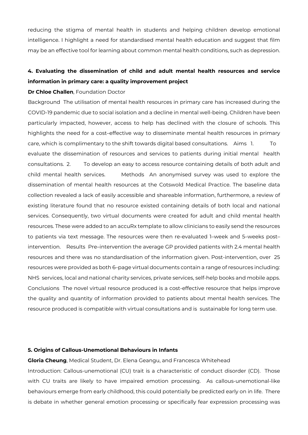reducing the stigma of mental health in students and helping children develop emotional intelligence. I highlight a need for standardised mental health education and suggest that film may be an effective tool for learning about common mental health conditions, such as depression.

## **4. Evaluating the dissemination of child and adult mental health resources and service information in primary care: a quality improvement project**

#### **Dr Chloe Challen**, Foundation Doctor

Background The utilisation of mental health resources in primary care has increased during the COVID-19 pandemic due to social isolation and a decline in mental well-being. Children have been particularly impacted, however, access to help has declined with the closure of schools. This highlights the need for a cost–effective way to disseminate mental health resources in primary care, which is complimentary to the shift towards digital based consultations. Aims 1. To evaluate the dissemination of resources and services to patients during initial mental health consultations. 2. To develop an easy to access resource containing details of both adult and child mental health services. Methods An anonymised survey was used to explore the dissemination of mental health resources at the Cotswold Medical Practice. The baseline data collection revealed a lack of easily accessible and shareable information, furthermore, a review of existing literature found that no resource existed containing details of both local and national services. Consequently, two virtual documents were created for adult and child mental health resources. These were added to an accuRx template to allow clinicians to easily send the resources to patients via text message. The resources were then re-evaluated 1–week and 5–weeks post– intervention. Results Pre–intervention the average GP provided patients with 2.4 mental health resources and there was no standardisation of the information given. Post-intervention, over 25 resources were provided as both 6–page virtual documents contain a range of resources including: NHS services, local and national charity services, private services, self-help books and mobile apps. Conclusions The novel virtual resource produced is a cost-effective resource that helps improve the quality and quantity of information provided to patients about mental health services. The resource produced is compatible with virtual consultations and is sustainable for long term use.

#### **5. Origins of Callous-Unemotional Behaviours in Infants**

**Gloria Cheung**, Medical Student, Dr. Elena Geangu, and Francesca Whitehead Introduction: Callous-unemotional (CU) trait is a characteristic of conduct disorder (CD). Those with CU traits are likely to have impaired emotion processing. As callous-unemotional-like behaviours emerge from early childhood, this could potentially be predicted early on in life. There is debate in whether general emotion processing or specifically fear expression processing was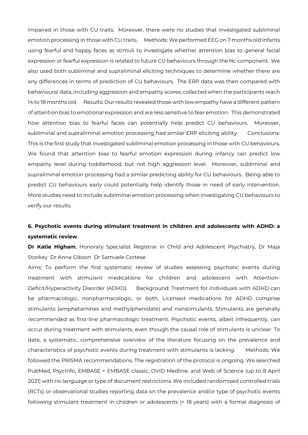impaired in those with CU traits. Moreover, there were no studies that investigated subliminal emotion processing in those with CU traits. Methods: We performed EEG on 7 months old infants using fearful and happy faces as stimuli to investigate whether attention bias to general facial expression or fearful expression is related to future CU behaviours through the Nc component. We also used both subliminal and supraliminal eliciting techniques to determine whether there are any differences in terms of prediction of CU behaviours. The ERP data was then compared with behavioural data, including aggression and empathy scores, collected when the participants reach 14 to 18 months old. Results: Our results revealed those with low empathy have a different pattern of attention bias to emotional expression and are less sensitive to fear emotion. This demonstrated how attention bias to fearful faces can potentially help predict CU behaviours. Moreover, subliminal and supraliminal emotion processing had similar ERP eliciting ability. Conclusions: This is the first study that investigated subliminal emotion processing in those with CU behaviours. We found that attention bias to fearful emotion expression during infancy can predict low empathy level during toddlerhood, but not high aggression level. Moreover, subliminal and supraliminal emotion processing had a similar predicting ability for CU behaviours. Being able to predict CU behaviours early could potentially help identify those in need of early intervention. More studies need to include subliminal emotion processing when investigating CU behaviours to verify our results.

## **6. Psychotic events during stimulant treatment in children and adolescents with ADHD: a systematic review**

**Dr Katie Higham**, Honorary Specialist Registrar in Child and Adolescent Psychiatry, Dr Maja Storkey Dr Anna Gibson Dr Samuele Cortese

Aims: To perform the first systematic review of studies assessing psychotic events during treatment with stimulant medications for children and adolescent with Attention-Deficit/Hyperactivity Disorder (ADHD). Background: Treatment for individuals with ADHD can be pharmacologic, nonpharmacologic, or both. Licensed medications for ADHD comprise stimulants (amphetamines and methylphenidate) and nonstimulants. Stimulants are generally recommended as first-line pharmacologic treatment. Psychotic events, albeit infrequently, can occur during treatment with stimulants, even though the causal role of stimulants is unclear. To date, a systematic, comprehensive overview of the literature focusing on the prevalence and characteristics of psychotic events during treatment with stimulants is lacking. Methods: We followed the PRISMA recommendations. The registration of the protocol is ongoing. We searched PubMed, PsycInfo, EMBASE + EMBASE classic, OVID Medline, and Web of Science (up to 8 April 2021) with no language or type of document restrictions. We included randomised controlled trials (RCTs) or observational studies reporting data on the prevalence and/or type of psychotic events following stimulant treatment in children or adolescents (< 18 years) with a formal diagnosis of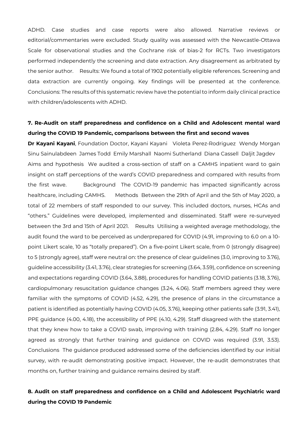ADHD. Case studies and case reports were also allowed. Narrative reviews or editorial/commentaries were excluded. Study quality was assessed with the Newcastle-Ottawa Scale for observational studies and the Cochrane risk of bias-2 for RCTs. Two investigators performed independently the screening and date extraction. Any disagreement as arbitrated by the senior author. Results: We found a total of 1902 potentially eligible references. Screening and data extraction are currently ongoing. Key findings will be presented at the conference. Conclusions: The results of this systematic review have the potential to inform daily clinical practice with children/adolescents with ADHD.

## **7. Re-Audit on staff preparedness and confidence on a Child and Adolescent mental ward during the COVID 19 Pandemic, comparisons between the first and second waves**

**Dr Kayani Kayani**, Foundation Doctor, Kayani Kayani Violeta Perez-Rodriguez Wendy Morgan Sinu Sainulabdeen James Todd Emily Marshall Naomi Sutherland Diana Cassell Daljit Jagdev Aims and hypothesis We audited a cross-section of staff on a CAMHS inpatient ward to gain insight on staff perceptions of the ward's COVID preparedness and compared with results from the first wave. Background The COVID-19 pandemic has impacted significantly across healthcare, including CAMHS. Methods Between the 29th of April and the 5th of May 2020, a total of 22 members of staff responded to our survey. This included doctors, nurses, HCAs and "others." Guidelines were developed, implemented and disseminated. Staff were re-surveyed between the 3rd and 15th of April 2021. Results Utilising a weighted average methodology, the audit found the ward to be perceived as underprepared for COVID (4.91, improving to 6.0 on a 10 point Likert scale, 10 as "totally prepared"). On a five-point Likert scale, from 0 (strongly disagree) to 5 (strongly agree), staff were neutral on: the presence of clear guidelines (3.0, improving to 3.76), guideline accessibility (3.41, 3.76), clear strategies for screening (3.64, 3.59), confidence on screening and expectations regarding COVID (3.64, 3.88), procedures for handling COVID patients (3.18, 3.76), cardiopulmonary resuscitation guidance changes (3.24, 4.06). Staff members agreed they were familiar with the symptoms of COVID (4.52, 4.29), the presence of plans in the circumstance a patient is identified as potentially having COVID (4.05, 3.76), keeping other patients safe (3.91, 3.41), PPE guidance (4.00, 4.18), the accessibility of PPE (4.10, 4.29). Staff disagreed with the statement that they knew how to take a COVID swab, improving with training (2.84, 4.29). Staff no longer agreed as strongly that further training and guidance on COVID was required (3.91, 3.53). Conclusions The guidance produced addressed some of the deficiencies identified by our initial survey, with re-audit demonstrating positive impact. However, the re-audit demonstrates that months on, further training and guidance remains desired by staff.

## **8. Audit on staff preparedness and confidence on a Child and Adolescent Psychiatric ward during the COVID 19 Pandemic**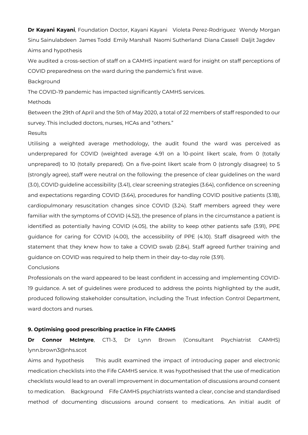**Dr Kayani Kayani**, Foundation Doctor, Kayani Kayani Violeta Perez-Rodriguez Wendy Morgan Sinu Sainulabdeen James Todd Emily Marshall Naomi Sutherland Diana Cassell Daljit Jagdev Aims and hypothesis

We audited a cross-section of staff on a CAMHS inpatient ward for insight on staff perceptions of COVID preparedness on the ward during the pandemic's first wave.

Background

The COVID-19 pandemic has impacted significantly CAMHS services.

#### Methods

Between the 29th of April and the 5th of May 2020, a total of 22 members of staff responded to our survey. This included doctors, nurses, HCAs and "others."

#### Results

Utilising a weighted average methodology, the audit found the ward was perceived as underprepared for COVID (weighted average 4.91 on a 10-point likert scale, from 0 (totally unprepared) to 10 (totally prepared). On a five-point likert scale from 0 (strongly disagree) to 5 (strongly agree), staff were neutral on the following: the presence of clear guidelines on the ward (3.0), COVID guideline accessibility (3.41), clear screening strategies (3.64), confidence on screening and expectations regarding COVID (3.64), procedures for handling COVID positive patients (3.18), cardiopulmonary resuscitation changes since COVID (3.24). Staff members agreed they were familiar with the symptoms of COVID (4.52), the presence of plans in the circumstance a patient is identified as potentially having COVID (4.05), the ability to keep other patients safe (3.91), PPE guidance for caring for COVID (4.00), the accessibility of PPE (4.10). Staff disagreed with the statement that they knew how to take a COVID swab (2.84). Staff agreed further training and guidance on COVID was required to help them in their day-to-day role (3.91).

**Conclusions** 

Professionals on the ward appeared to be least confident in accessing and implementing COVID-19 guidance. A set of guidelines were produced to address the points highlighted by the audit, produced following stakeholder consultation, including the Trust Infection Control Department, ward doctors and nurses.

#### **9. Optimising good prescribing practice in Fife CAMHS**

**Dr Connor McIntyre**, CT1-3, Dr Lynn Brown (Consultant Psychiatrist CAMHS) lynn.brown3@nhs.scot

Aims and hypothesis This audit examined the impact of introducing paper and electronic medication checklists into the Fife CAMHS service. It was hypothesised that the use of medication checklists would lead to an overall improvement in documentation of discussions around consent to medication. Background Fife CAMHS psychiatrists wanted a clear, concise and standardised method of documenting discussions around consent to medications. An initial audit of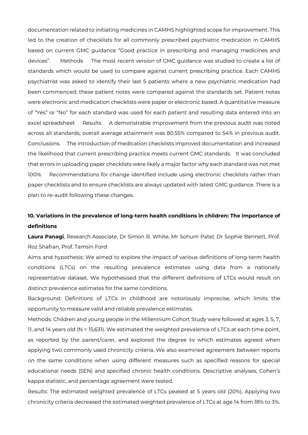documentation related to initiating medicines in CAMHS highlighted scope for improvement. This led to the creation of checklists for all commonly prescribed psychiatric medication in CAMHS based on current GMC guidance "Good practice in prescribing and managing medicines and devices". Methods The most recent version of GMC guidance was studied to create a list of standards which would be used to compare against current prescribing practice. Each CAMHS psychiatrist was asked to identify their last 5 patients where a new psychiatric medication had been commenced; these patient notes were compared against the standards set. Patient notes were electronic and medication checklists were paper or electronic based. A quantitative measure of "Yes" or "No" for each standard was used for each patient and resulting data entered into an excel spreadsheet Results A demonstrable improvement from the previous audit was noted across all standards; overall average attainment was 80.55% compared to 54% in previous audit. Conclusions. The introduction of medication checklists improved documentation and increased the likelihood that current prescribing practice meets current GMC standards. It was concluded that errors in uploading paper checklists were likely a major factor why each standard was not met 100%. Recommendations for change identified include using electronic checklists rather than paper checklists and to ensure checklists are always updated with latest GMC guidance. There is a plan to re-audit following these changes.

## **10. Variations in the prevalence of long-term health conditions in children: The importance of definitions**

**Laura Panagi**, Research Associate, Dr Simon R. White, Mr Sohum Patel, Dr Sophie Bennett, Prof. Roz Shafran, Prof. Tamsin Ford

Aims and hypothesis: We aimed to explore the impact of various definitions of long-term health conditions (LTCs) on the resulting prevalence estimates using data from a nationally representative dataset. We hypothesised that the different definitions of LTCs would result on distinct prevalence estimates for the same conditions.

Background: Definitions of LTCs in childhood are notoriously imprecise, which limits the opportunity to measure valid and reliable prevalence estimates.

Methods: Children and young people in the Millennium Cohort Study were followed at ages 3, 5, 7, 11, and 14 years old (N = 15,631). We estimated the weighted prevalence of LTCs at each time point, as reported by the parent/carer, and explored the degree to which estimates agreed when applying two commonly used chronicity criteria. We also examined agreement between reports on the same conditions when using different measures such as specified reasons for special educational needs (SEN) and specified chronic health conditions. Descriptive analyses, Cohen's kappa statistic, and percentage agreement were tested.

Results: The estimated weighted prevalence of LTCs peaked at 5 years old (20%). Applying two chronicity criteria decreased the estimated weighted prevalence of LTCs at age 14 from 18% to 3%.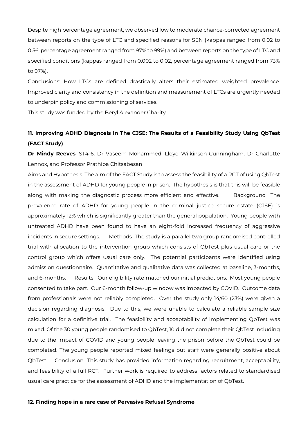Despite high percentage agreement, we observed low to moderate chance-corrected agreement between reports on the type of LTC and specified reasons for SEN (kappas ranged from 0.02 to 0.56, percentage agreement ranged from 97% to 99%) and between reports on the type of LTC and specified conditions (kappas ranged from 0.002 to 0.02, percentage agreement ranged from 73% to 97%).

Conclusions: How LTCs are defined drastically alters their estimated weighted prevalence. Improved clarity and consistency in the definition and measurement of LTCs are urgently needed to underpin policy and commissioning of services.

This study was funded by the Beryl Alexander Charity.

## **11. Improving ADHD Diagnosis In The CJSE: The Results of a Feasibility Study Using QbTest (FACT Study)**

**Dr Mindy Reeves**, ST4-6, Dr Vaseem Mohammed, Lloyd Wilkinson-Cunningham, Dr Charlotte Lennox, and Professor Prathiba Chitsabesan

Aims and Hypothesis The aim of the FACT Study is to assess the feasibility of a RCT of using QbTest in the assessment of ADHD for young people in prison. The hypothesis is that this will be feasible along with making the diagnostic process more efficient and effective. Background The prevalence rate of ADHD for young people in the criminal justice secure estate (CJSE) is approximately 12% which is significantly greater than the general population. Young people with untreated ADHD have been found to have an eight-fold increased frequency of aggressive incidents in secure settings. Methods The study is a parallel two group randomised controlled trial with allocation to the intervention group which consists of QbTest plus usual care or the control group which offers usual care only. The potential participants were identified using admission questionnaire. Quantitative and qualitative data was collected at baseline, 3-months, and 6-months. Results Our eligibility rate matched our initial predictions. Most young people consented to take part. Our 6-month follow-up window was impacted by COVID. Outcome data from professionals were not reliably completed. Over the study only 14/60 (23%) were given a decision regarding diagnosis. Due to this, we were unable to calculate a reliable sample size calculation for a definitive trial. The feasibility and acceptability of implementing QbTest was mixed. Of the 30 young people randomised to QbTest, 10 did not complete their QbTest including due to the impact of COVID and young people leaving the prison before the QbTest could be completed. The young people reported mixed feelings but staff were generally positive about QbTest. Conclusion This study has provided information regarding recruitment, acceptability, and feasibility of a full RCT. Further work is required to address factors related to standardised usual care practice for the assessment of ADHD and the implementation of QbTest.

#### **12. Finding hope in a rare case of Pervasive Refusal Syndrome**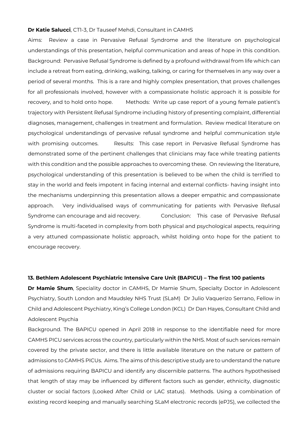#### **Dr Katie Salucci**, CT1-3, Dr Tauseef Mehdi, Consultant in CAMHS

Aims: Review a case in Pervasive Refusal Syndrome and the literature on psychological understandings of this presentation, helpful communication and areas of hope in this condition. Background: Pervasive Refusal Syndrome is defined by a profound withdrawal from life which can include a retreat from eating, drinking, walking, talking, or caring for themselves in any way over a period of several months. This is a rare and highly complex presentation, that proves challenges for all professionals involved, however with a compassionate holistic approach it is possible for recovery, and to hold onto hope. Methods: Write up case report of a young female patient's trajectory with Persistent Refusal Syndrome including history of presenting complaint, differential diagnoses, management, challenges in treatment and formulation. Review medical literature on psychological understandings of pervasive refusal syndrome and helpful communication style with promising outcomes. Besults: This case report in Pervasive Refusal Syndrome has demonstrated some of the pertinent challenges that clinicians may face while treating patients with this condition and the possible approaches to overcoming these. On reviewing the literature, psychological understanding of this presentation is believed to be when the child is terrified to stay in the world and feels impotent in facing internal and external conflicts- having insight into the mechanisms underpinning this presentation allows a deeper empathic and compassionate approach. Very individualised ways of communicating for patients with Pervasive Refusal Syndrome can encourage and aid recovery. Conclusion: This case of Pervasive Refusal Syndrome is multi-faceted in complexity from both physical and psychological aspects, requiring a very attuned compassionate holistic approach, whilst holding onto hope for the patient to encourage recovery.

#### **13. Bethlem Adolescent Psychiatric Intensive Care Unit (BAPICU) – The first 100 patients**

**Dr Mamie Shum**, Speciality doctor in CAMHS, Dr Mamie Shum, Specialty Doctor in Adolescent Psychiatry, South London and Maudsley NHS Trust (SLaM) Dr Julio Vaquerizo Serrano, Fellow in Child and Adolescent Psychiatry, King's College London (KCL) Dr Dan Hayes, Consultant Child and Adolescent Psychia

Background. The BAPICU opened in April 2018 in response to the identifiable need for more CAMHS PICU services across the country, particularly within the NHS. Most of such services remain covered by the private sector, and there is little available literature on the nature or pattern of admissions to CAMHS PICUs. Aims. The aims of this descriptive study are to understand the nature of admissions requiring BAPICU and identify any discernible patterns. The authors hypothesised that length of stay may be influenced by different factors such as gender, ethnicity, diagnostic cluster or social factors (Looked After Child or LAC status). Methods. Using a combination of existing record keeping and manually searching SLaM electronic records (ePJS), we collected the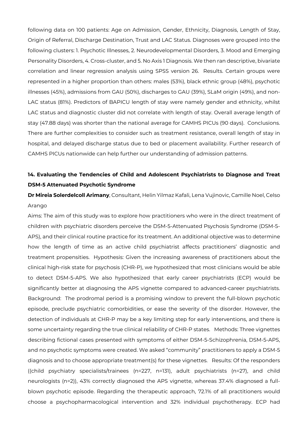following data on 100 patients: Age on Admission, Gender, Ethnicity, Diagnosis, Length of Stay, Origin of Referral, Discharge Destination, Trust and LAC Status. Diagnoses were grouped into the following clusters: 1. Psychotic Illnesses, 2. Neurodevelopmental Disorders, 3. Mood and Emerging Personality Disorders, 4. Cross-cluster, and 5. No Axis 1 Diagnosis. We then ran descriptive, bivariate correlation and linear regression analysis using SPSS version 26. Results. Certain groups were represented in a higher proportion than others: males (53%), black ethnic group (48%), psychotic illnesses (45%), admissions from GAU (50%), discharges to GAU (39%), SLaM origin (49%), and non-LAC status (81%). Predictors of BAPICU length of stay were namely gender and ethnicity, whilst LAC status and diagnostic cluster did not correlate with length of stay. Overall average length of stay (47.88 days) was shorter than the national average for CAMHS PICUs (90 days). Conclusions. There are further complexities to consider such as treatment resistance, overall length of stay in hospital, and delayed discharge status due to bed or placement availability. Further research of CAMHS PICUs nationwide can help further our understanding of admission patterns.

## **14. Evaluating the Tendencies of Child and Adolescent Psychiatrists to Diagnose and Treat DSM-5 Attenuated Psychotic Syndrome**

**Dr Mireia Solerdelcoll Arimany**, Consultant, Helin Yilmaz Kafali, Lena Vujinovic, Camille Noel, Celso Arango

Aims: The aim of this study was to explore how practitioners who were in the direct treatment of children with psychiatric disorders perceive the DSM-5-Attenuated Psychosis Syndrome (DSM-5- APS), and their clinical routine practice for its treatment. An additional objective was to determine how the length of time as an active child psychiatrist affects practitioners' diagnostic and treatment propensities. Hypothesis: Given the increasing awareness of practitioners about the clinical high-risk state for psychosis (CHR-P), we hypothesized that most clinicians would be able to detect DSM-5-APS. We also hypothesized that early career psychiatrists (ECP) would be significantly better at diagnosing the APS vignette compared to advanced-career psychiatrists. Background: The prodromal period is a promising window to prevent the full-blown psychotic episode, preclude psychiatric comorbidities, or ease the severity of the disorder. However, the detection of individuals at CHR-P may be a key limiting step for early interventions, and there is some uncertainty regarding the true clinical reliability of CHR-P states. Methods: Three vignettes describing fictional cases presented with symptoms of either DSM-5-Schizophrenia, DSM-5-APS, and no psychotic symptoms were created. We asked "community" practitioners to apply a DSM-5 diagnosis and to choose appropriate treatment(s) for these vignettes. Results: Of the responders ((child psychiatry specialists/trainees (n=227, n=131), adult psychiatrists (n=27), and child neurologists (n=2)), 43% correctly diagnosed the APS vignette, whereas 37.4% diagnosed a fullblown psychotic episode. Regarding the therapeutic approach, 72.1% of all practitioners would choose a psychopharmacological intervention and 32% individual psychotherapy. ECP had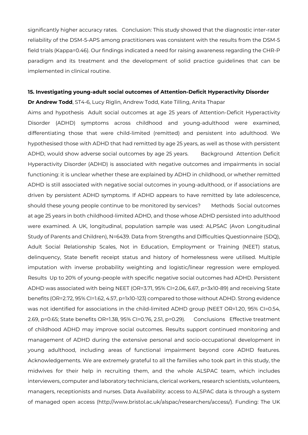significantly higher accuracy rates. Conclusion: This study showed that the diagnostic inter-rater reliability of the DSM-5-APS among practitioners was consistent with the results from the DSM-5 field trials (Kappa=0.46). Our findings indicated a need for raising awareness regarding the CHR-P paradigm and its treatment and the development of solid practice guidelines that can be implemented in clinical routine.

#### **15. Investigating young-adult social outcomes of Attention-Deficit Hyperactivity Disorder**

**Dr Andrew Todd**, ST4-6, Lucy Riglin, Andrew Todd, Kate Tilling, Anita Thapar

Aims and hypothesis Adult social outcomes at age 25 years of Attention-Deficit Hyperactivity Disorder (ADHD) symptoms across childhood and young-adulthood were examined, differentiating those that were child-limited (remitted) and persistent into adulthood. We hypothesised those with ADHD that had remitted by age 25 years, as well as those with persistent ADHD, would show adverse social outcomes by age 25 years. Background Attention Deficit Hyperactivity Disorder (ADHD) is associated with negative outcomes and impairments in social functioning: it is unclear whether these are explained by ADHD in childhood, or whether remitted ADHD is still associated with negative social outcomes in young-adulthood, or if associations are driven by persistent ADHD symptoms. If ADHD appears to have remitted by late adolescence, should these young people continue to be monitored by services? Methods Social outcomes at age 25 years in both childhood-limited ADHD, and those whose ADHD persisted into adulthood were examined. A UK, longitudinal, population sample was used: ALPSAC (Avon Longitudinal Study of Parents and Children), N=6439. Data from Strengths and Difficulties Questionnaire (SDQ), Adult Social Relationship Scales, Not in Education, Employment or Training (NEET) status, delinquency, State benefit receipt status and history of homelessness were utilised. Multiple imputation with inverse probability weighting and logistic/linear regression were employed. Results Up to 20% of young-people with specific negative social outcomes had ADHD. Persistent ADHD was associated with being NEET (OR=3.71, 95% CI=2.06, 6.67, p=3x10-89) and receiving State benefits (OR=2.72, 95% CI=1.62, 4.57, p=1x10-123) compared to those without ADHD. Strong evidence was not identified for associations in the child-limited ADHD group (NEET OR=1.20, 95% CI=0.54, 2.69, p=0.65; State benefits OR=1.38, 95% CI=0.76, 2.51, p=0.29). Conclusions Effective treatment of childhood ADHD may improve social outcomes. Results support continued monitoring and management of ADHD during the extensive personal and socio-occupational development in young adulthood, including areas of functional impairment beyond core ADHD features. Acknowledgements. We are extremely grateful to all the families who took part in this study, the midwives for their help in recruiting them, and the whole ALSPAC team, which includes interviewers, computer and laboratory technicians, clerical workers, research scientists, volunteers, managers, receptionists and nurses. Data Availability: access to ALSPAC data is through a system of managed open access (http://www.bristol.ac.uk/alspac/researchers/access/). Funding: The UK